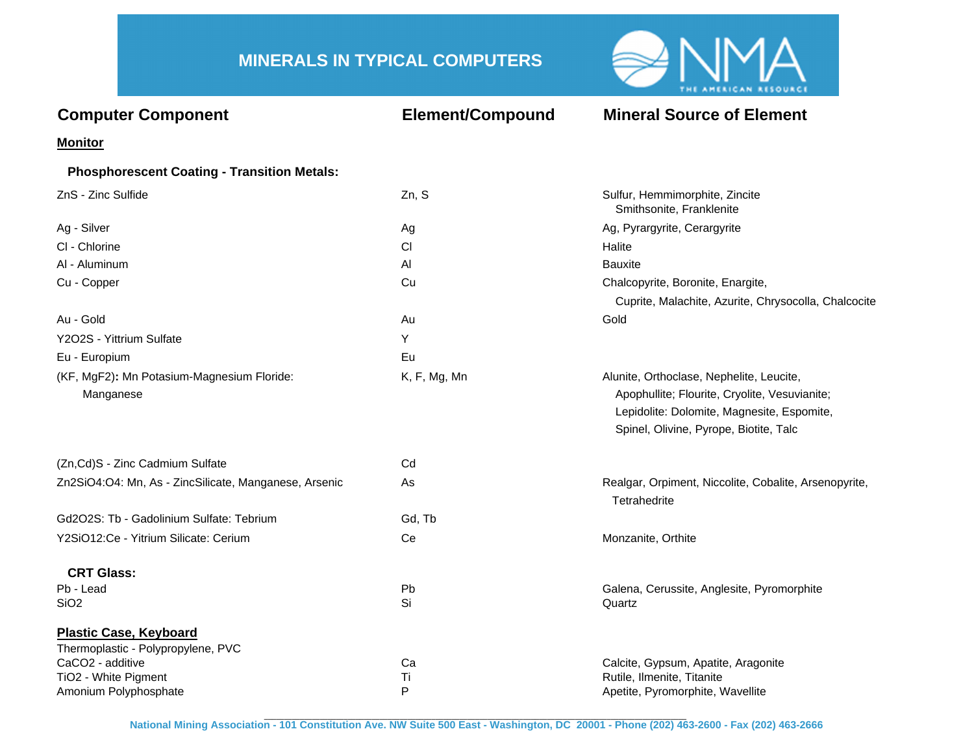## **MINERALS IN TYPICAL COMPUTERS**



| <b>Computer Component</b>                               | <b>Element/Compound</b> | <b>Mineral Source of Element</b>                                                                                                                                                  |
|---------------------------------------------------------|-------------------------|-----------------------------------------------------------------------------------------------------------------------------------------------------------------------------------|
| <b>Monitor</b>                                          |                         |                                                                                                                                                                                   |
| <b>Phosphorescent Coating - Transition Metals:</b>      |                         |                                                                                                                                                                                   |
| ZnS - Zinc Sulfide                                      | Zn, S                   | Sulfur, Hemmimorphite, Zincite<br>Smithsonite, Franklenite                                                                                                                        |
| Ag - Silver                                             | Ag                      | Ag, Pyrargyrite, Cerargyrite                                                                                                                                                      |
| CI - Chlorine                                           | СI                      | Halite                                                                                                                                                                            |
| AI - Aluminum                                           | AI                      | <b>Bauxite</b>                                                                                                                                                                    |
| Cu - Copper                                             | Cu                      | Chalcopyrite, Boronite, Enargite,                                                                                                                                                 |
|                                                         |                         | Cuprite, Malachite, Azurite, Chrysocolla, Chalcocite                                                                                                                              |
| Au - Gold                                               | Au                      | Gold                                                                                                                                                                              |
| Y2O2S - Yittrium Sulfate                                | Y                       |                                                                                                                                                                                   |
| Eu - Europium                                           | Eu                      |                                                                                                                                                                                   |
| (KF, MgF2): Mn Potasium-Magnesium Floride:<br>Manganese | K, F, Mg, Mn            | Alunite, Orthoclase, Nephelite, Leucite,<br>Apophullite; Flourite, Cryolite, Vesuvianite;<br>Lepidolite: Dolomite, Magnesite, Espomite,<br>Spinel, Olivine, Pyrope, Biotite, Talc |
| (Zn,Cd)S - Zinc Cadmium Sulfate                         | Cd                      |                                                                                                                                                                                   |
| Zn2SiO4:O4: Mn, As - ZincSilicate, Manganese, Arsenic   | As                      | Realgar, Orpiment, Niccolite, Cobalite, Arsenopyrite,<br>Tetrahedrite                                                                                                             |
| Gd2O2S: Tb - Gadolinium Sulfate: Tebrium                | Gd, Tb                  |                                                                                                                                                                                   |
| Y2SiO12:Ce - Yitrium Silicate: Cerium                   | Ce                      | Monzanite, Orthite                                                                                                                                                                |
| <b>CRT Glass:</b>                                       |                         |                                                                                                                                                                                   |
| Pb - Lead                                               | Pb                      | Galena, Cerussite, Anglesite, Pyromorphite                                                                                                                                        |
| SiO <sub>2</sub>                                        | Si                      | Quartz                                                                                                                                                                            |
| <b>Plastic Case, Keyboard</b>                           |                         |                                                                                                                                                                                   |
| Thermoplastic - Polypropylene, PVC<br>CaCO2 - additive  |                         |                                                                                                                                                                                   |
| TiO2 - White Pigment                                    | Ca<br>Ti                | Calcite, Gypsum, Apatite, Aragonite<br>Rutile, Ilmenite, Titanite                                                                                                                 |
| Amonium Polyphosphate                                   | P                       | Apetite, Pyromorphite, Wavellite                                                                                                                                                  |